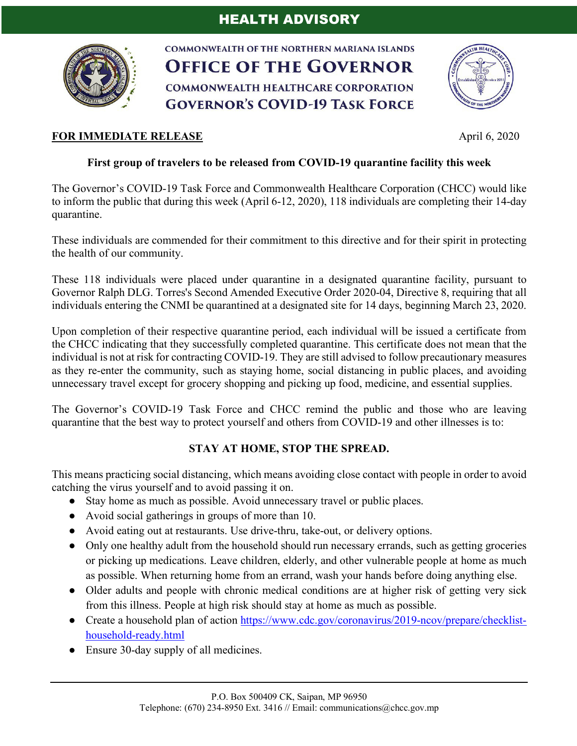## HEALTH ADVISORY



**COMMONWEALTH OF THE NORTHERN MARIANA ISLANDS OFFICE OF THE GOVERNOR COMMONWEALTH HEALTHCARE CORPORATION GOVERNOR'S COVID-19 TASK FORCE** 



## **FOR IMMEDIATE RELEASE** April 6, 2020

## **First group of travelers to be released from COVID-19 quarantine facility this week**

The Governor's COVID-19 Task Force and Commonwealth Healthcare Corporation (CHCC) would like to inform the public that during this week (April 6-12, 2020), 118 individuals are completing their 14-day quarantine.

These individuals are commended for their commitment to this directive and for their spirit in protecting the health of our community.

These 118 individuals were placed under quarantine in a designated quarantine facility, pursuant to Governor Ralph DLG. Torres's Second Amended Executive Order 2020-04, Directive 8, requiring that all individuals entering the CNMI be quarantined at a designated site for 14 days, beginning March 23, 2020.

Upon completion of their respective quarantine period, each individual will be issued a certificate from the CHCC indicating that they successfully completed quarantine. This certificate does not mean that the individual is not at risk for contracting COVID-19. They are still advised to follow precautionary measures as they re-enter the community, such as staying home, social distancing in public places, and avoiding unnecessary travel except for grocery shopping and picking up food, medicine, and essential supplies.

The Governor's COVID-19 Task Force and CHCC remind the public and those who are leaving quarantine that the best way to protect yourself and others from COVID-19 and other illnesses is to:

## **STAY AT HOME, STOP THE SPREAD.**

This means practicing social distancing, which means avoiding close contact with people in order to avoid catching the virus yourself and to avoid passing it on.

- Stay home as much as possible. Avoid unnecessary travel or public places.
- Avoid social gatherings in groups of more than 10.
- Avoid eating out at restaurants. Use drive-thru, take-out, or delivery options.
- Only one healthy adult from the household should run necessary errands, such as getting groceries or picking up medications. Leave children, elderly, and other vulnerable people at home as much as possible. When returning home from an errand, wash your hands before doing anything else.
- Older adults and people with chronic medical conditions are at higher risk of getting very sick from this illness. People at high risk should stay at home as much as possible.
- Create a household plan of action https://www.cdc.gov/coronavirus/2019-ncov/prepare/checklisthousehold-ready.html
- Ensure 30-day supply of all medicines.